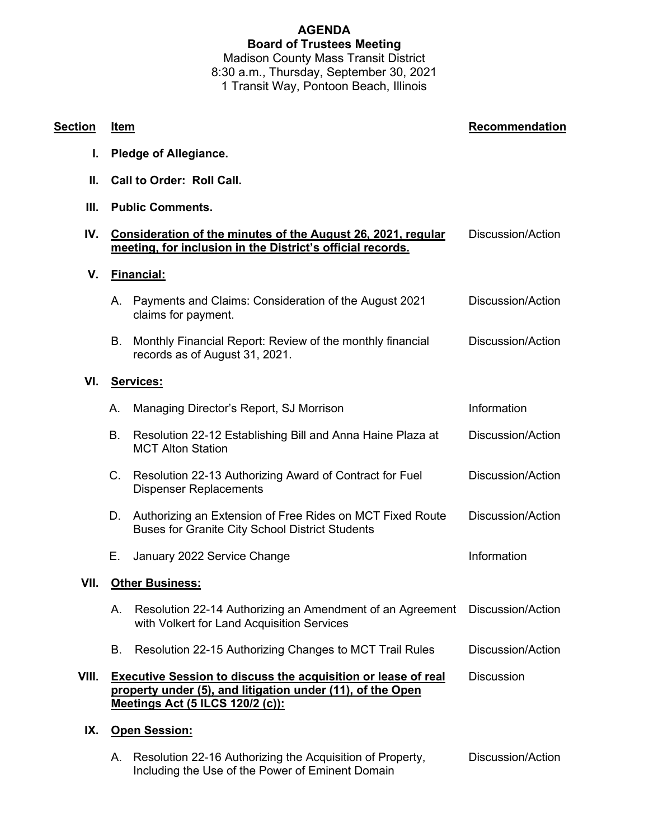## **AGENDA Board of Trustees Meeting** Madison County Mass Transit District

8:30 a.m., Thursday, September 30, 2021 1 Transit Way, Pontoon Beach, Illinois

**Section Item Recommendation I. Pledge of Allegiance. II. Call to Order: Roll Call. III. Public Comments. IV. Consideration of the minutes of the August 26, 2021, regular meeting, for inclusion in the District's official records.** Discussion/Action **V. Financial:** A. Payments and Claims: Consideration of the August 2021 claims for payment. Discussion/Action B. Monthly Financial Report: Review of the monthly financial records as of August 31, 2021. Discussion/Action **VI. Services:** A. Managing Director's Report, SJ Morrison **Information** Information B. Resolution 22-12 Establishing Bill and Anna Haine Plaza at MCT Alton Station Discussion/Action C. Resolution 22-13 Authorizing Award of Contract for Fuel Dispenser Replacements Discussion/Action D. Authorizing an Extension of Free Rides on MCT Fixed Route Buses for Granite City School District Students Discussion/Action E. January 2022 Service Change Information **VII. Other Business:** A. Resolution 22-14 Authorizing an Amendment of an Agreement Discussion/Action with Volkert for Land Acquisition Services B. Resolution 22-15 Authorizing Changes to MCT Trail Rules Discussion/Action **VIII. Executive Session to discuss the acquisition or lease of real property under (5), and litigation under (11), of the Open Meetings Act (5 ILCS 120/2 (c)): Discussion IX. Open Session:**

A. Resolution 22-16 Authorizing the Acquisition of Property, Including the Use of the Power of Eminent Domain Discussion/Action